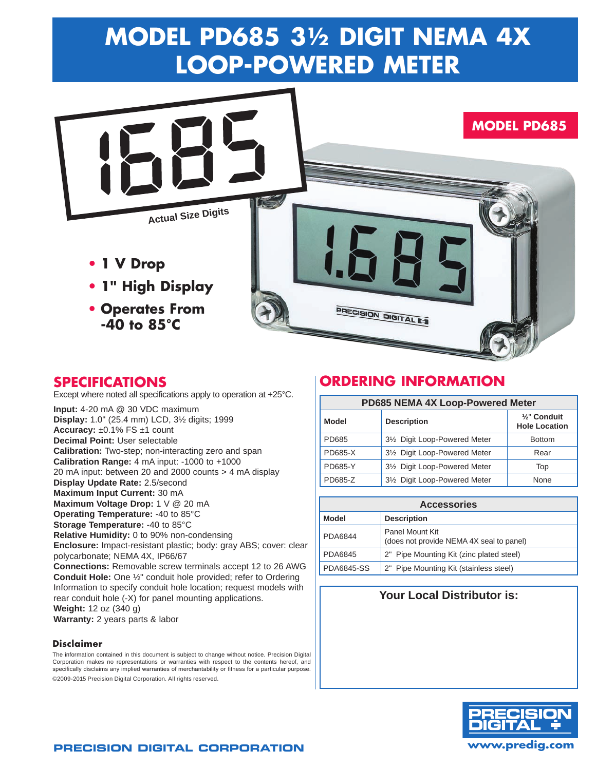# **Model PD685 3½ Digit NEMA 4X LOOP-POWERED Meter**



## **Specifications**

Except where noted all specifications apply to operation at +25°C.

**Input:** 4-20 mA @ 30 VDC maximum **Display:** 1.0" (25.4 mm) LCD, 3½ digits; 1999 **Accuracy:** ±0.1% FS ±1 count **Decimal Point:** User selectable **Calibration:** Two-step; non-interacting zero and span **Calibration Range:** 4 mA input: -1000 to +1000 20 mA input: between 20 and 2000 counts > 4 mA display **Display Update Rate:** 2.5/second **Maximum Input Current:** 30 mA **Maximum Voltage Drop:** 1 V @ 20 mA **Operating Temperature:** -40 to 85°C **Storage Temperature:** -40 to 85°C **Relative Humidity:** 0 to 90% non-condensing **Enclosure:** Impact-resistant plastic; body: gray ABS; cover: clear polycarbonate; NEMA 4X, IP66/67 **Connections:** Removable screw terminals accept 12 to 26 AWG **Conduit Hole:** One ½" conduit hole provided; refer to Ordering Information to specify conduit hole location; request models with rear conduit hole (-X) for panel mounting applications. **Weight:** 12 oz (340 g) **Warranty:** 2 years parts & labor

#### **Disclaimer**

The information contained in this document is subject to change without notice. Precision Digital Corporation makes no representations or warranties with respect to the contents hereof, and specifically disclaims any implied warranties of merchantability or fitness for a particular purpose. ©2009-2015 Precision Digital Corporation. All rights reserved.

## **ordering information**

| PD685 NEMA 4X Loop-Powered Meter |                               |                                      |
|----------------------------------|-------------------------------|--------------------------------------|
| Model                            | <b>Description</b>            | 1/2" Conduit<br><b>Hole Location</b> |
| PD685                            | 31/2 Digit Loop-Powered Meter | <b>Bottom</b>                        |
| <b>PD685-X</b>                   | 31/2 Digit Loop-Powered Meter | Rear                                 |
| <b>PD685-Y</b>                   | 31/2 Digit Loop-Powered Meter | Top                                  |
| PD685-Z                          | 31/2 Digit Loop-Powered Meter | None                                 |

| <b>Accessories</b> |                                                             |  |
|--------------------|-------------------------------------------------------------|--|
| <b>Model</b>       | <b>Description</b>                                          |  |
| PDA6844            | Panel Mount Kit<br>(does not provide NEMA 4X seal to panel) |  |
| PDA6845            | 2" Pipe Mounting Kit (zinc plated steel)                    |  |
| PDA6845-SS         | 2" Pipe Mounting Kit (stainless steel)                      |  |

## **Your Local Distributor is:**



## **Precision Digital Corporation www.predig.com**